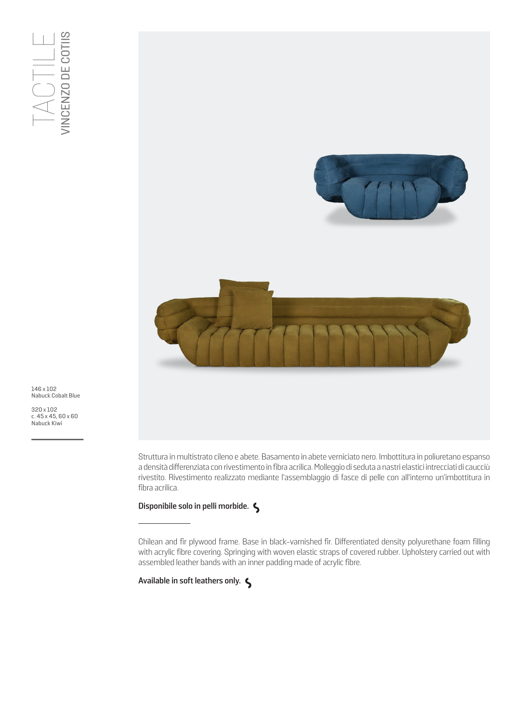

146 x 102 Nabuck Cobalt Blue

320 x 102 c. 45 x 45, 60 x 60<br>Nabuck Kiwi

> Struttura in multistrato cileno e abete. Basamento in abete verniciato nero. Imbottitura in poliuretano espanso a densità differenziata con rivestimento in fibra acrilica. Molleggio di seduta a nastri elastici intrecciati di caucciù rivestito. Rivestimento realizzato mediante l'assemblaggio di fasce di pelle con all'interno un'imbottitura in fibra acrilica.

## **Disponibile solo in pelli morbide.**

Chilean and fir plywood frame. Base in black-varnished fir. Differentiated density polyurethane foam filling with acrylic fibre covering. Springing with woven elastic straps of covered rubber. Upholstery carried out with assembled leather bands with an inner padding made of acrylic fibre.

**Available in soft leathers only.**